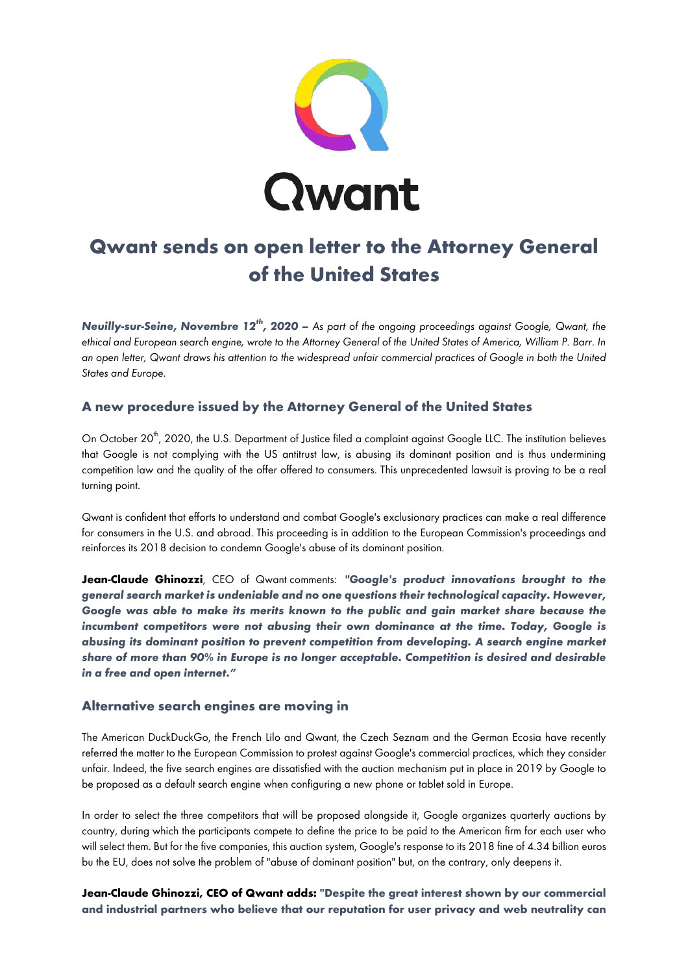

# **Qwant sends on open letter to the Attorney General of the United States**

**Neuilly-sur-Seine, Novembre 12<sup>th</sup>, 2020** – As part of the ongoing proceedings against Google, Qwant, the *ethical and European search engine, wrote to the Attorney General of the United States of America, William P. Barr. In an open letter, Qwant draws his attention to the widespread unfair commercial practices of Google in both the United States and Europe.*

# **A new procedure issued by the Attorney General of the United States**

On October 20<sup>th</sup>, 2020, the U.S. Department of Justice filed a complaint against Google LLC. The institution believes that Google is not complying with the US antitrust law, is abusing its dominant position and is thus undermining competition law and the quality of the offer offered to consumers. This unprecedented lawsuit is proving to be a real turning point.

Qwant is confident that efforts to understand and combat Google's exclusionary practices can make a real difference for consumers in the U.S. and abroad. This proceeding is in addition to the European Commission's proceedings and reinforces its 2018 decision to condemn Google's abuse of its dominant position.

**Jean-Claude Ghinozzi**, CEO of Qwant comments: *"Google's product innovations brought to the general search market is undeniable and no one questions their technological capacity. However, Google was able to make its merits known to the public and gain market share because the incumbent competitors were not abusing their own dominance at the time. Today, Google is abusing its dominant position to prevent competition from developing. A search engine market share of more than 90% in Europe is no longer acceptable. Competition is desired and desirable in a free and open internet."*

## **Alternative search engines are moving in**

The American DuckDuckGo, the French Lilo and Qwant, the Czech Seznam and the German Ecosia have recently referred the matter to the European Commission to protest against Google's commercial practices, which they consider unfair. Indeed, the five search engines are dissatisfied with the auction mechanism put in place in 2019 by Google to be proposed as a default search engine when configuring a new phone or tablet sold in Europe.

In order to select the three competitors that will be proposed alongside it, Google organizes quarterly auctions by country, during which the participants compete to define the price to be paid to the American firm for each user who will select them. But for the five companies, this auction system, Google's response to its 2018 fine of 4.34 billion euros bu the EU, does not solve the problem of "abuse of dominant position" but, on the contrary, only deepens it.

**Jean-Claude Ghinozzi, CEO of Qwant adds: "Despite the great interest shown by our commercial and industrial partners who believe that our reputation for user privacy and web neutrality can**